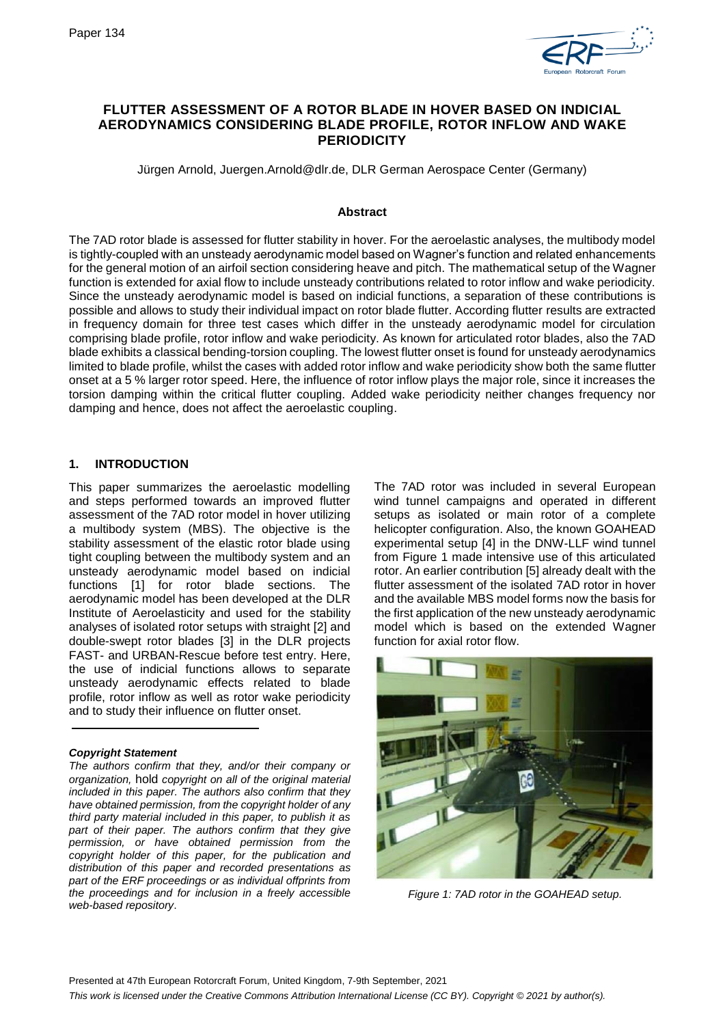

# **FLUTTER ASSESSMENT OF A ROTOR BLADE IN HOVER BASED ON INDICIAL AERODYNAMICS CONSIDERING BLADE PROFILE, ROTOR INFLOW AND WAKE PERIODICITY**

Jürgen Arnold, Juergen.Arnold@dlr.de, DLR German Aerospace Center (Germany)

### **Abstract**

The 7AD rotor blade is assessed for flutter stability in hover. For the aeroelastic analyses, the multibody model is tightly-coupled with an unsteady aerodynamic model based on Wagner's function and related enhancements for the general motion of an airfoil section considering heave and pitch. The mathematical setup of the Wagner function is extended for axial flow to include unsteady contributions related to rotor inflow and wake periodicity. Since the unsteady aerodynamic model is based on indicial functions, a separation of these contributions is possible and allows to study their individual impact on rotor blade flutter. According flutter results are extracted in frequency domain for three test cases which differ in the unsteady aerodynamic model for circulation comprising blade profile, rotor inflow and wake periodicity. As known for articulated rotor blades, also the 7AD blade exhibits a classical bending-torsion coupling. The lowest flutter onset is found for unsteady aerodynamics limited to blade profile, whilst the cases with added rotor inflow and wake periodicity show both the same flutter onset at a 5 % larger rotor speed. Here, the influence of rotor inflow plays the major role, since it increases the torsion damping within the critical flutter coupling. Added wake periodicity neither changes frequency nor damping and hence, does not affect the aeroelastic coupling.

## **1. INTRODUCTION**

This paper summarizes the aeroelastic modelling and steps performed towards an improved flutter assessment of the 7AD rotor model in hover utilizing a multibody system (MBS). The objective is the stability assessment of the elastic rotor blade using tight coupling between the multibody system and an unsteady aerodynamic model based on indicial functions [\[1\]](#page-7-0) for rotor blade sections. The aerodynamic model has been developed at the DLR Institute of Aeroelasticity and used for the stability analyses of isolated rotor setups with straight [\[2\]](#page-7-1) and double-swept rotor blades [\[3\]](#page-7-2) in the DLR projects FAST- and URBAN-Rescue before test entry. Here, the use of indicial functions allows to separate unsteady aerodynamic effects related to blade profile, rotor inflow as well as rotor wake periodicity and to study their influence on flutter onset.

### *Copyright Statement*

*The authors confirm that they, and/or their company or organization,* hold *copyright on all of the original material included in this paper. The authors also confirm that they have obtained permission, from the copyright holder of any third party material included in this paper, to publish it as part of their paper. The authors confirm that they give permission, or have obtained permission from the copyright holder of this paper, for the publication and distribution of this paper and recorded presentations as part of the ERF proceedings or as individual offprints from the proceedings and for inclusion in a freely accessible web-based repository*.

The 7AD rotor was included in several European wind tunnel campaigns and operated in different setups as isolated or main rotor of a complete helicopter configuration. Also, the known GOAHEAD experimental setup [\[4\]](#page-7-3) in the DNW-LLF wind tunnel from [Figure 1](#page-0-0) made intensive use of this articulated rotor. An earlier contribution [\[5\]](#page-7-4) already dealt with the flutter assessment of the isolated 7AD rotor in hover and the available MBS model forms now the basis for the first application of the new unsteady aerodynamic model which is based on the extended Wagner function for axial rotor flow.

<span id="page-0-0"></span>

*Figure 1: 7AD rotor in the GOAHEAD setup.*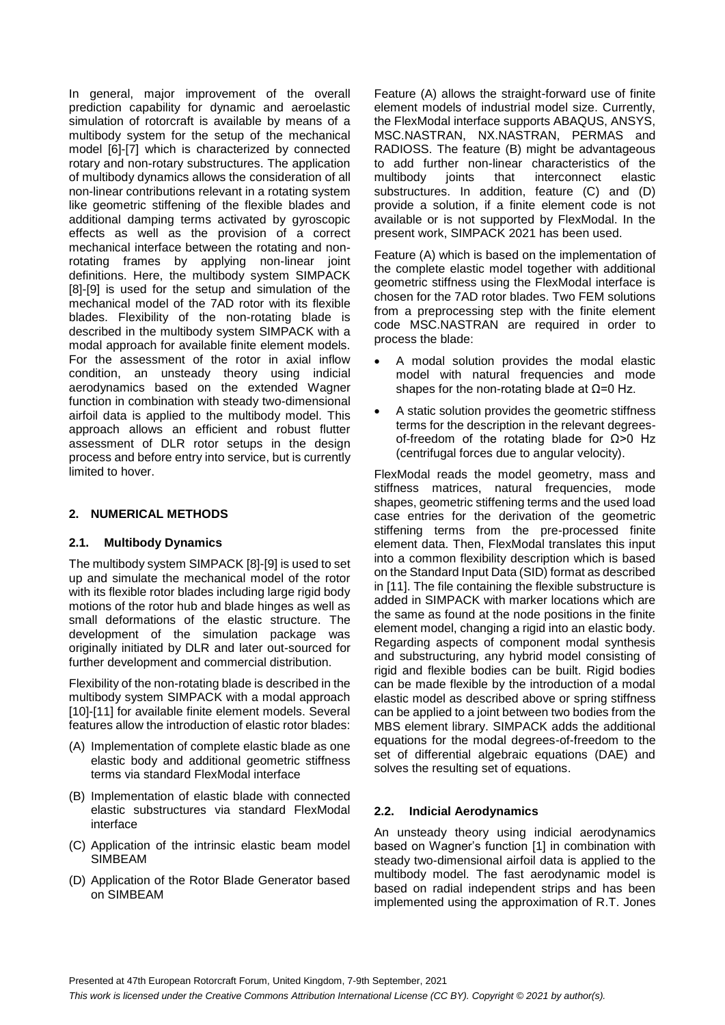In general, major improvement of the overall prediction capability for dynamic and aeroelastic simulation of rotorcraft is available by means of a multibody system for the setup of the mechanical model [\[6\]-](#page-7-5)[\[7\]](#page-7-6) which is characterized by connected rotary and non-rotary substructures. The application of multibody dynamics allows the consideration of all non-linear contributions relevant in a rotating system like geometric stiffening of the flexible blades and additional damping terms activated by gyroscopic effects as well as the provision of a correct mechanical interface between the rotating and nonrotating frames by applying non-linear joint definitions. Here, the multibody system SIMPACK [\[8\]-](#page-7-7)[\[9\]](#page-7-8) is used for the setup and simulation of the mechanical model of the 7AD rotor with its flexible blades. Flexibility of the non-rotating blade is described in the multibody system SIMPACK with a modal approach for available finite element models. For the assessment of the rotor in axial inflow condition, an unsteady theory using indicial aerodynamics based on the extended Wagner function in combination with steady two-dimensional airfoil data is applied to the multibody model. This approach allows an efficient and robust flutter assessment of DLR rotor setups in the design process and before entry into service, but is currently limited to hover.

# **2. NUMERICAL METHODS**

## **2.1. Multibody Dynamics**

The multibody system SIMPACK [\[8\]-](#page-7-7)[\[9\]](#page-7-8) is used to set up and simulate the mechanical model of the rotor with its flexible rotor blades including large rigid body motions of the rotor hub and blade hinges as well as small deformations of the elastic structure. The development of the simulation package was originally initiated by DLR and later out-sourced for further development and commercial distribution.

Flexibility of the non-rotating blade is described in the multibody system SIMPACK with a modal approach [\[10\]-](#page-7-9)[\[11\]](#page-7-10) for available finite element models. Several features allow the introduction of elastic rotor blades:

- (A) Implementation of complete elastic blade as one elastic body and additional geometric stiffness terms via standard FlexModal interface
- (B) Implementation of elastic blade with connected elastic substructures via standard FlexModal interface
- (C) Application of the intrinsic elastic beam model SIMBEAM
- (D) Application of the Rotor Blade Generator based on SIMBEAM

Feature (A) allows the straight-forward use of finite element models of industrial model size. Currently, the FlexModal interface supports ABAQUS, ANSYS, MSC.NASTRAN, NX.NASTRAN, PERMAS and RADIOSS. The feature (B) might be advantageous to add further non-linear characteristics of the multibody joints that interconnect elastic substructures. In addition, feature (C) and (D) provide a solution, if a finite element code is not available or is not supported by FlexModal. In the present work, SIMPACK 2021 has been used.

Feature (A) which is based on the implementation of the complete elastic model together with additional geometric stiffness using the FlexModal interface is chosen for the 7AD rotor blades. Two FEM solutions from a preprocessing step with the finite element code MSC.NASTRAN are required in order to process the blade:

- A modal solution provides the modal elastic model with natural frequencies and mode shapes for the non-rotating blade at  $\Omega$ =0 Hz.
- A static solution provides the geometric stiffness terms for the description in the relevant degreesof-freedom of the rotating blade for Ω>0 Hz (centrifugal forces due to angular velocity).

FlexModal reads the model geometry, mass and stiffness matrices, natural frequencies, mode shapes, geometric stiffening terms and the used load case entries for the derivation of the geometric stiffening terms from the pre-processed finite element data. Then, FlexModal translates this input into a common flexibility description which is based on the Standard Input Data (SID) format as described in [\[11\].](#page-7-10) The file containing the flexible substructure is added in SIMPACK with marker locations which are the same as found at the node positions in the finite element model, changing a rigid into an elastic body. Regarding aspects of component modal synthesis and substructuring, any hybrid model consisting of rigid and flexible bodies can be built. Rigid bodies can be made flexible by the introduction of a modal elastic model as described above or spring stiffness can be applied to a joint between two bodies from the MBS element library. SIMPACK adds the additional equations for the modal degrees-of-freedom to the set of differential algebraic equations (DAE) and solves the resulting set of equations.

## **2.2. Indicial Aerodynamics**

An unsteady theory using indicial aerodynamics based on Wagner's function [\[1\]](#page-7-0) in combination with steady two-dimensional airfoil data is applied to the multibody model. The fast aerodynamic model is based on radial independent strips and has been implemented using the approximation of R.T. Jones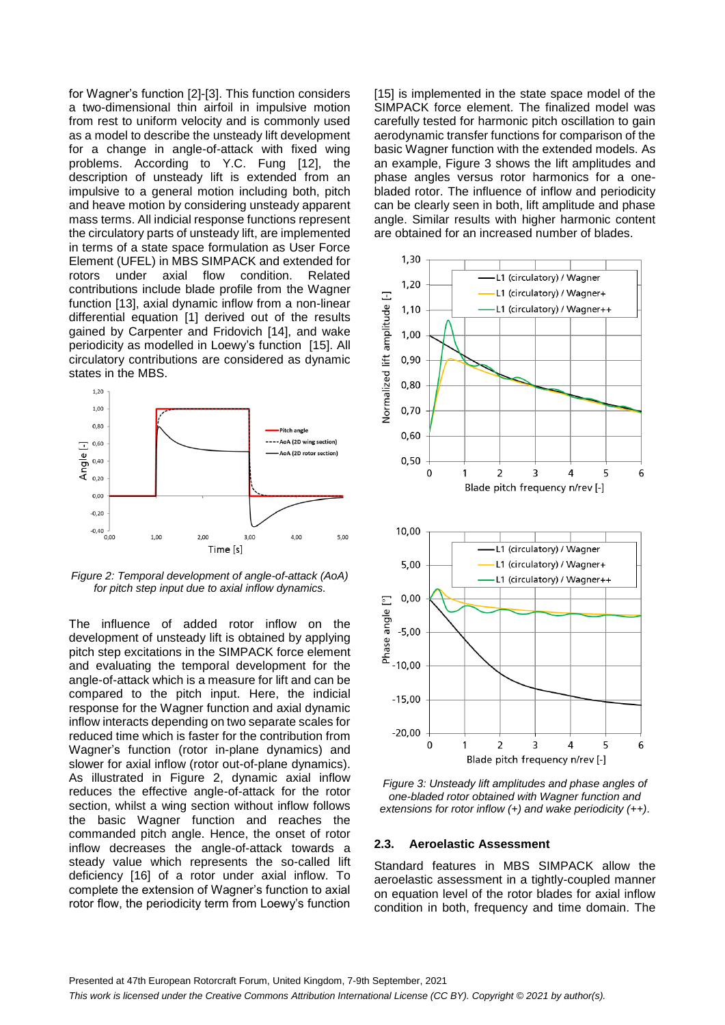for Wagner's function [\[2\]-](#page-7-1)[\[3\].](#page-7-2) This function considers a two-dimensional thin airfoil in impulsive motion from rest to uniform velocity and is commonly used as a model to describe the unsteady lift development for a change in angle-of-attack with fixed wing problems. According to Y.C. Fung [\[12\],](#page-7-11) the description of unsteady lift is extended from an impulsive to a general motion including both, pitch and heave motion by considering unsteady apparent mass terms. All indicial response functions represent the circulatory parts of unsteady lift, are implemented in terms of a state space formulation as User Force Element (UFEL) in MBS SIMPACK and extended for rotors under axial flow condition. Related contributions include blade profile from the Wagner function [\[13\],](#page-7-12) axial dynamic inflow from a non-linear differential equation [\[1\]](#page-7-0) derived out of the results gained by Carpenter and Fridovich [\[14\],](#page-7-13) and wake periodicity as modelled in Loewy's function [\[15\].](#page-7-14) All circulatory contributions are considered as dynamic states in the MBS.



<span id="page-2-0"></span>*Figure 2: Temporal development of angle-of-attack (AoA) for pitch step input due to axial inflow dynamics.*

The influence of added rotor inflow on the development of unsteady lift is obtained by applying pitch step excitations in the SIMPACK force element and evaluating the temporal development for the angle-of-attack which is a measure for lift and can be compared to the pitch input. Here, the indicial response for the Wagner function and axial dynamic inflow interacts depending on two separate scales for reduced time which is faster for the contribution from Wagner's function (rotor in-plane dynamics) and slower for axial inflow (rotor out-of-plane dynamics). As illustrated in [Figure 2,](#page-2-0) dynamic axial inflow reduces the effective angle-of-attack for the rotor section, whilst a wing section without inflow follows the basic Wagner function and reaches the commanded pitch angle. Hence, the onset of rotor inflow decreases the angle-of-attack towards a steady value which represents the so-called lift deficiency [\[16\]](#page-7-15) of a rotor under axial inflow. To complete the extension of Wagner's function to axial rotor flow, the periodicity term from Loewy's function

[\[15\]](#page-7-14) is implemented in the state space model of the SIMPACK force element. The finalized model was carefully tested for harmonic pitch oscillation to gain aerodynamic transfer functions for comparison of the basic Wagner function with the extended models. As an example, [Figure 3](#page-2-1) shows the lift amplitudes and phase angles versus rotor harmonics for a onebladed rotor. The influence of inflow and periodicity can be clearly seen in both, lift amplitude and phase angle. Similar results with higher harmonic content are obtained for an increased number of blades.



<span id="page-2-1"></span>*Figure 3: Unsteady lift amplitudes and phase angles of one-bladed rotor obtained with Wagner function and extensions for rotor inflow (+) and wake periodicity (++).*

#### **2.3. Aeroelastic Assessment**

Standard features in MBS SIMPACK allow the aeroelastic assessment in a tightly-coupled manner on equation level of the rotor blades for axial inflow condition in both, frequency and time domain. The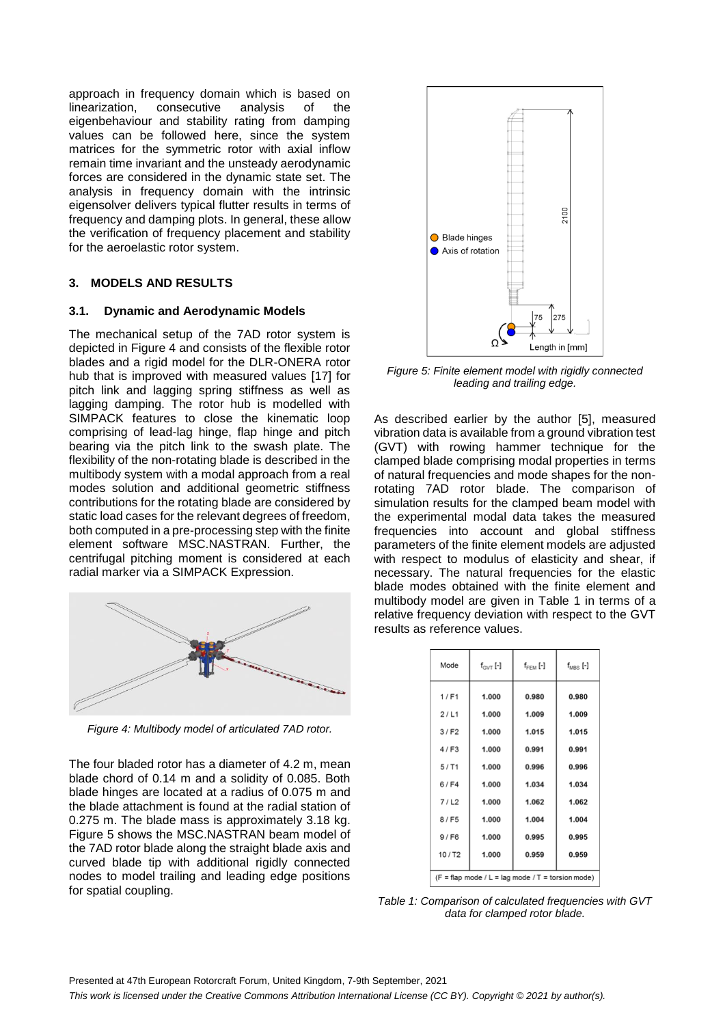approach in frequency domain which is based on linearization, consecutive analysis of the eigenbehaviour and stability rating from damping values can be followed here, since the system matrices for the symmetric rotor with axial inflow remain time invariant and the unsteady aerodynamic forces are considered in the dynamic state set. The analysis in frequency domain with the intrinsic eigensolver delivers typical flutter results in terms of frequency and damping plots. In general, these allow the verification of frequency placement and stability for the aeroelastic rotor system.

## **3. MODELS AND RESULTS**

### **3.1. Dynamic and Aerodynamic Models**

The mechanical setup of the 7AD rotor system is depicted in [Figure 4](#page-3-0) and consists of the flexible rotor blades and a rigid model for the DLR-ONERA rotor hub that is improved with measured values [\[17\]](#page-7-16) for pitch link and lagging spring stiffness as well as lagging damping. The rotor hub is modelled with SIMPACK features to close the kinematic loop comprising of lead-lag hinge, flap hinge and pitch bearing via the pitch link to the swash plate. The flexibility of the non-rotating blade is described in the multibody system with a modal approach from a real modes solution and additional geometric stiffness contributions for the rotating blade are considered by static load cases for the relevant degrees of freedom, both computed in a pre-processing step with the finite element software MSC.NASTRAN. Further, the centrifugal pitching moment is considered at each radial marker via a SIMPACK Expression.



<span id="page-3-0"></span>*Figure 4: Multibody model of articulated 7AD rotor.*

The four bladed rotor has a diameter of 4.2 m, mean blade chord of 0.14 m and a solidity of 0.085. Both blade hinges are located at a radius of 0.075 m and the blade attachment is found at the radial station of 0.275 m. The blade mass is approximately 3.18 kg. [Figure 5](#page-3-1) shows the MSC.NASTRAN beam model of the 7AD rotor blade along the straight blade axis and curved blade tip with additional rigidly connected nodes to model trailing and leading edge positions for spatial coupling.



<span id="page-3-1"></span>*Figure 5: Finite element model with rigidly connected leading and trailing edge.*

As described earlier by the author [\[5\],](#page-7-4) measured vibration data is available from a ground vibration test (GVT) with rowing hammer technique for the clamped blade comprising modal properties in terms of natural frequencies and mode shapes for the nonrotating 7AD rotor blade. The comparison of simulation results for the clamped beam model with the experimental modal data takes the measured frequencies into account and global stiffness parameters of the finite element models are adjusted with respect to modulus of elasticity and shear, if necessary. The natural frequencies for the elastic blade modes obtained with the finite element and multibody model are given in [Table 1](#page-3-2) in terms of a relative frequency deviation with respect to the GVT results as reference values.

| Mode   | $f_{\text{GVT}}$ [-] | $f_{FEM}$ [-] | $f_{\rm MBS}$ [-] |
|--------|----------------------|---------------|-------------------|
| 1/F1   | 1.000                | 0.980         | 0.980             |
| 2/LI   | 1.000                | 1.009         | 1.009             |
| 3/ F2  | 1.000                | 1.015         | 1.015             |
| 4/53   | 1.000                | 0.991         | 0.991             |
| 5/11   | 1.000                | 0.996         | 0.996             |
| 6/FA   | 1.000                | 1.034         | 1.034             |
| 7/L2   | 1.000                | 1.062         | 1.062             |
| 8/F5   | 1.000                | 1.004         | 1.004             |
| 9/FB   | 1.000                | 0.995         | 0.995             |
| 10/ T2 | 1.000                | 0.959         | 0.959             |
| $-$    | .                    |               | .                 |

 $(F = \text{flap mode } / L = \text{lag mode } / T = \text{torsion mode})$ 

<span id="page-3-2"></span>*Table 1: Comparison of calculated frequencies with GVT data for clamped rotor blade.*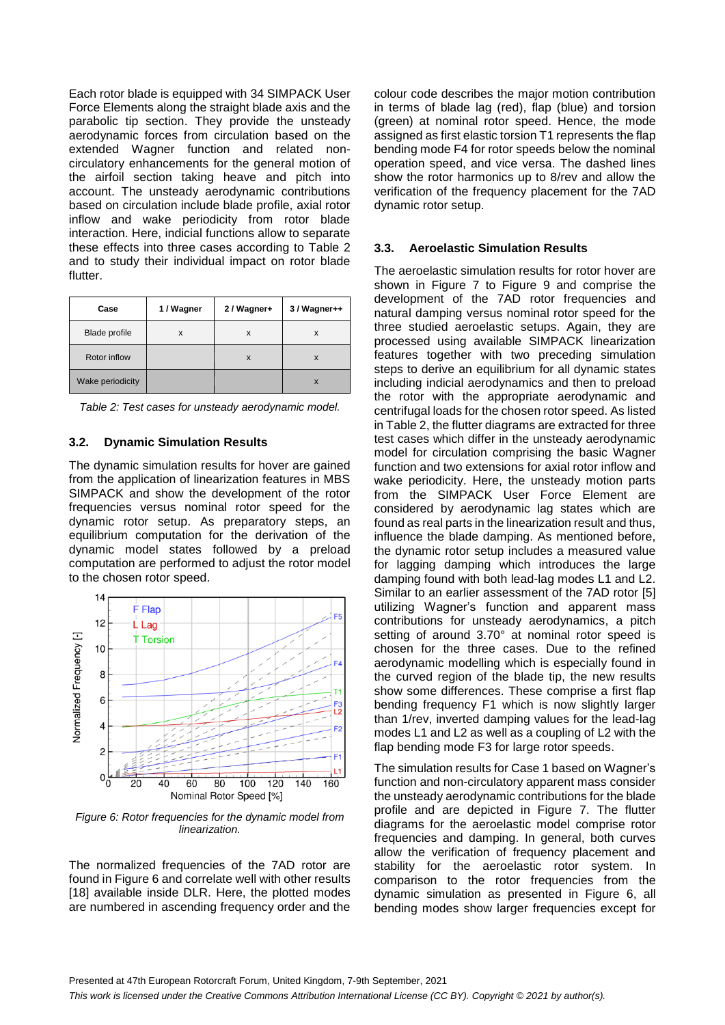Each rotor blade is equipped with 34 SIMPACK User Force Elements along the straight blade axis and the parabolic tip section. They provide the unsteady aerodynamic forces from circulation based on the extended Wagner function and related noncirculatory enhancements for the general motion of the airfoil section taking heave and pitch into account. The unsteady aerodynamic contributions based on circulation include blade profile, axial rotor inflow and wake periodicity from rotor blade interaction. Here, indicial functions allow to separate these effects into three cases according to [Table 2](#page-4-0) and to study their individual impact on rotor blade flutter.

| Case             | 1 / Wagner | 2 / Wagner+ | 3 / Wagner++ |
|------------------|------------|-------------|--------------|
| Blade profile    | x          | X           | x            |
| Rotor inflow     |            | X           | X            |
| Wake periodicity |            |             | X            |

<span id="page-4-0"></span>*Table 2: Test cases for unsteady aerodynamic model.*

### **3.2. Dynamic Simulation Results**

The dynamic simulation results for hover are gained from the application of linearization features in MBS SIMPACK and show the development of the rotor frequencies versus nominal rotor speed for the dynamic rotor setup. As preparatory steps, an equilibrium computation for the derivation of the dynamic model states followed by a preload computation are performed to adjust the rotor model to the chosen rotor speed.



<span id="page-4-1"></span>*Figure 6: Rotor frequencies for the dynamic model from linearization.*

The normalized frequencies of the 7AD rotor are found in [Figure 6](#page-4-1) and correlate well with other results [\[18\]](#page-7-17) available inside DLR. Here, the plotted modes are numbered in ascending frequency order and the

colour code describes the major motion contribution in terms of blade lag (red), flap (blue) and torsion (green) at nominal rotor speed. Hence, the mode assigned as first elastic torsion T1 represents the flap bending mode F4 for rotor speeds below the nominal operation speed, and vice versa. The dashed lines show the rotor harmonics up to 8/rev and allow the verification of the frequency placement for the 7AD dynamic rotor setup.

## **3.3. Aeroelastic Simulation Results**

The aeroelastic simulation results for rotor hover are shown in [Figure 7](#page-5-0) to [Figure 9](#page-6-0) and comprise the development of the 7AD rotor frequencies and natural damping versus nominal rotor speed for the three studied aeroelastic setups. Again, they are processed using available SIMPACK linearization features together with two preceding simulation steps to derive an equilibrium for all dynamic states including indicial aerodynamics and then to preload the rotor with the appropriate aerodynamic and centrifugal loads for the chosen rotor speed. As listed i[n Table 2,](#page-4-0) the flutter diagrams are extracted for three test cases which differ in the unsteady aerodynamic model for circulation comprising the basic Wagner function and two extensions for axial rotor inflow and wake periodicity. Here, the unsteady motion parts from the SIMPACK User Force Element are considered by aerodynamic lag states which are found as real parts in the linearization result and thus, influence the blade damping. As mentioned before, the dynamic rotor setup includes a measured value for lagging damping which introduces the large damping found with both lead-lag modes L1 and L2. Similar to an earlier assessment of the 7AD rotor [\[5\]](#page-7-4) utilizing Wagner's function and apparent mass contributions for unsteady aerodynamics, a pitch setting of around 3.70° at nominal rotor speed is chosen for the three cases. Due to the refined aerodynamic modelling which is especially found in the curved region of the blade tip, the new results show some differences. These comprise a first flap bending frequency F1 which is now slightly larger than 1/rev, inverted damping values for the lead-lag modes L1 and L2 as well as a coupling of L2 with the flap bending mode F3 for large rotor speeds.

The simulation results for Case 1 based on Wagner's function and non-circulatory apparent mass consider the unsteady aerodynamic contributions for the blade profile and are depicted in [Figure 7.](#page-5-0) The flutter diagrams for the aeroelastic model comprise rotor frequencies and damping. In general, both curves allow the verification of frequency placement and stability for the aeroelastic rotor system. In comparison to the rotor frequencies from the dynamic simulation as presented in [Figure 6,](#page-4-1) all bending modes show larger frequencies except for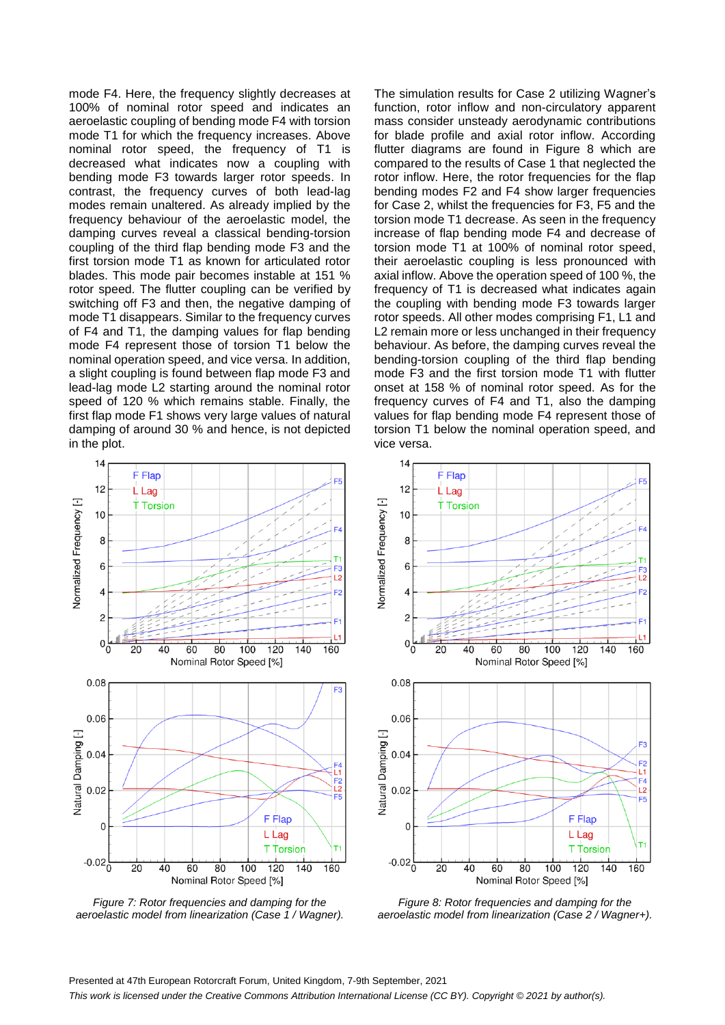mode F4. Here, the frequency slightly decreases at 100% of nominal rotor speed and indicates an aeroelastic coupling of bending mode F4 with torsion mode T1 for which the frequency increases. Above nominal rotor speed, the frequency of T1 is decreased what indicates now a coupling with bending mode F3 towards larger rotor speeds. In contrast, the frequency curves of both lead-lag modes remain unaltered. As already implied by the frequency behaviour of the aeroelastic model, the damping curves reveal a classical bending-torsion coupling of the third flap bending mode F3 and the first torsion mode T1 as known for articulated rotor blades. This mode pair becomes instable at 151 % rotor speed. The flutter coupling can be verified by switching off F3 and then, the negative damping of mode T1 disappears. Similar to the frequency curves of F4 and T1, the damping values for flap bending mode F4 represent those of torsion T1 below the nominal operation speed, and vice versa. In addition, a slight coupling is found between flap mode F3 and lead-lag mode L2 starting around the nominal rotor speed of 120 % which remains stable. Finally, the first flap mode F1 shows very large values of natural damping of around 30 % and hence, is not depicted in the plot.

The simulation results for Case 2 utilizing Wagner's function, rotor inflow and non-circulatory apparent mass consider unsteady aerodynamic contributions for blade profile and axial rotor inflow. According flutter diagrams are found in [Figure 8](#page-5-1) which are compared to the results of Case 1 that neglected the rotor inflow. Here, the rotor frequencies for the flap bending modes F2 and F4 show larger frequencies for Case 2, whilst the frequencies for F3, F5 and the torsion mode T1 decrease. As seen in the frequency increase of flap bending mode F4 and decrease of torsion mode T1 at 100% of nominal rotor speed, their aeroelastic coupling is less pronounced with axial inflow. Above the operation speed of 100 %, the frequency of T1 is decreased what indicates again the coupling with bending mode F3 towards larger rotor speeds. All other modes comprising F1, L1 and L2 remain more or less unchanged in their frequency behaviour. As before, the damping curves reveal the bending-torsion coupling of the third flap bending mode F3 and the first torsion mode T1 with flutter onset at 158 % of nominal rotor speed. As for the frequency curves of F4 and T1, also the damping values for flap bending mode F4 represent those of torsion T1 below the nominal operation speed, and vice versa.



<span id="page-5-0"></span>*Figure 7: Rotor frequencies and damping for the aeroelastic model from linearization (Case 1 / Wagner).*



<span id="page-5-1"></span>*Figure 8: Rotor frequencies and damping for the aeroelastic model from linearization (Case 2 / Wagner+).*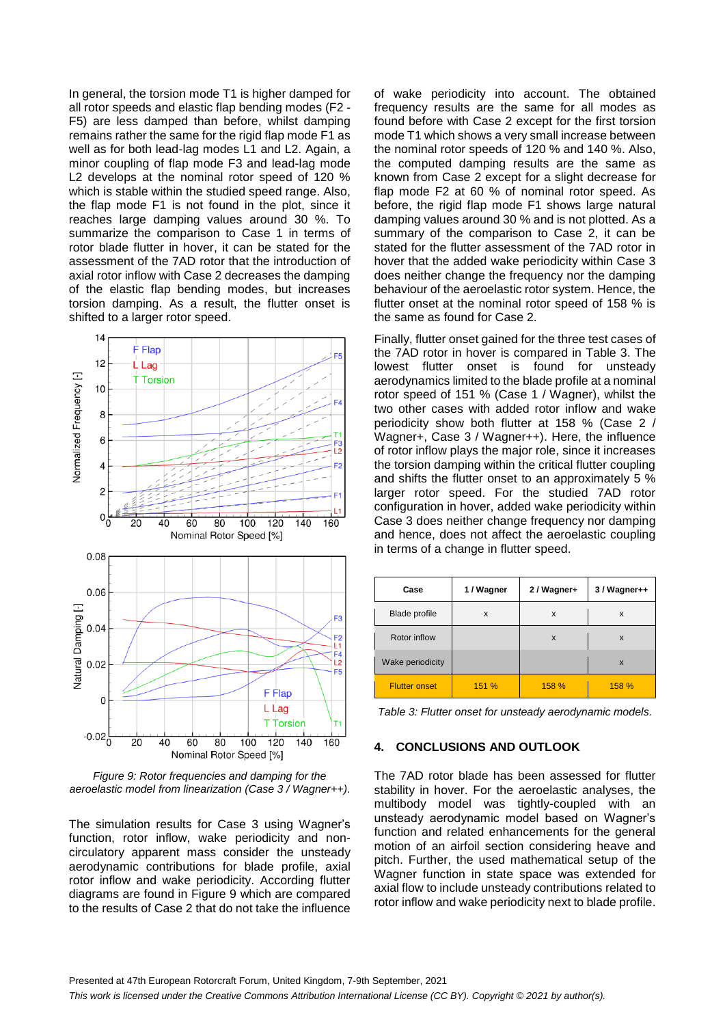In general, the torsion mode T1 is higher damped for all rotor speeds and elastic flap bending modes (F2 - F5) are less damped than before, whilst damping remains rather the same for the rigid flap mode F1 as well as for both lead-lag modes L1 and L2. Again, a minor coupling of flap mode F3 and lead-lag mode L2 develops at the nominal rotor speed of 120 % which is stable within the studied speed range. Also, the flap mode F1 is not found in the plot, since it reaches large damping values around 30 %. To summarize the comparison to Case 1 in terms of rotor blade flutter in hover, it can be stated for the assessment of the 7AD rotor that the introduction of axial rotor inflow with Case 2 decreases the damping of the elastic flap bending modes, but increases torsion damping. As a result, the flutter onset is shifted to a larger rotor speed.



<span id="page-6-0"></span>*Figure 9: Rotor frequencies and damping for the aeroelastic model from linearization (Case 3 / Wagner++).*

The simulation results for Case 3 using Wagner's function, rotor inflow, wake periodicity and noncirculatory apparent mass consider the unsteady aerodynamic contributions for blade profile, axial rotor inflow and wake periodicity. According flutter diagrams are found in [Figure 9](#page-6-0) which are compared to the results of Case 2 that do not take the influence

of wake periodicity into account. The obtained frequency results are the same for all modes as found before with Case 2 except for the first torsion mode T1 which shows a very small increase between the nominal rotor speeds of 120 % and 140 %. Also, the computed damping results are the same as known from Case 2 except for a slight decrease for flap mode F2 at 60 % of nominal rotor speed. As before, the rigid flap mode F1 shows large natural damping values around 30 % and is not plotted. As a summary of the comparison to Case 2, it can be stated for the flutter assessment of the 7AD rotor in hover that the added wake periodicity within Case 3 does neither change the frequency nor the damping behaviour of the aeroelastic rotor system. Hence, the flutter onset at the nominal rotor speed of 158 % is the same as found for Case 2.

Finally, flutter onset gained for the three test cases of the 7AD rotor in hover is compared in [Table 3.](#page-6-1) The lowest flutter onset is found for unsteady aerodynamics limited to the blade profile at a nominal rotor speed of 151 % (Case 1 / Wagner), whilst the two other cases with added rotor inflow and wake periodicity show both flutter at 158 % (Case 2 / Wagner+, Case 3 / Wagner++). Here, the influence of rotor inflow plays the major role, since it increases the torsion damping within the critical flutter coupling and shifts the flutter onset to an approximately 5 % larger rotor speed. For the studied 7AD rotor configuration in hover, added wake periodicity within Case 3 does neither change frequency nor damping and hence, does not affect the aeroelastic coupling in terms of a change in flutter speed.

| Case                 | 1 / Wagner | 2 / Wagner+ | 3 / Wagner++ |
|----------------------|------------|-------------|--------------|
| <b>Blade profile</b> | X          | x           | x            |
| Rotor inflow         |            | X           | X            |
| Wake periodicity     |            |             | X            |
| <b>Flutter onset</b> | 151 %      | 158 %       | 158 %        |

<span id="page-6-1"></span>*Table 3: Flutter onset for unsteady aerodynamic models.*

### **4. CONCLUSIONS AND OUTLOOK**

The 7AD rotor blade has been assessed for flutter stability in hover. For the aeroelastic analyses, the multibody model was tightly-coupled with an unsteady aerodynamic model based on Wagner's function and related enhancements for the general motion of an airfoil section considering heave and pitch. Further, the used mathematical setup of the Wagner function in state space was extended for axial flow to include unsteady contributions related to rotor inflow and wake periodicity next to blade profile.